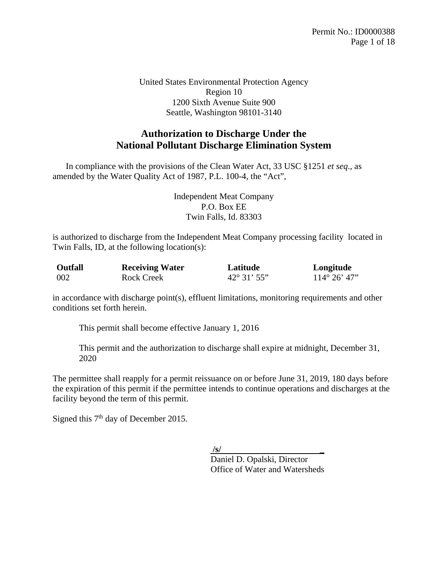United States Environmental Protection Agency Region 10 1200 Sixth Avenue Suite 900 Seattle, Washington 98101-3140

# **Authorization to Discharge Under the National Pollutant Discharge Elimination System**

 In compliance with the provisions of the Clean Water Act, 33 USC §1251 *et seq*., as amended by the Water Quality Act of 1987, P.L. 100-4, the "Act",

> Independent Meat Company P.O. Box EE Twin Falls, Id. 83303

is authorized to discharge from the Independent Meat Company processing facility located in Twin Falls, ID, at the following location(s):

| <b>Outfall</b> | <b>Receiving Water</b> | Latitude           | Longitude             |
|----------------|------------------------|--------------------|-----------------------|
| 002            | Rock Creek             | $42^{\circ}31'55"$ | $114^{\circ} 26' 47"$ |

in accordance with discharge point(s), effluent limitations, monitoring requirements and other conditions set forth herein.

This permit shall become effective January 1, 2016

This permit and the authorization to discharge shall expire at midnight, December 31, 2020

The permittee shall reapply for a permit reissuance on or before June 31, 2019, 180 days before the expiration of this permit if the permittee intends to continue operations and discharges at the facility beyond the term of this permit.

Signed this  $7<sup>th</sup>$  day of December 2015.

 **/s/ \_**

Daniel D. Opalski, Director Office of Water and Watersheds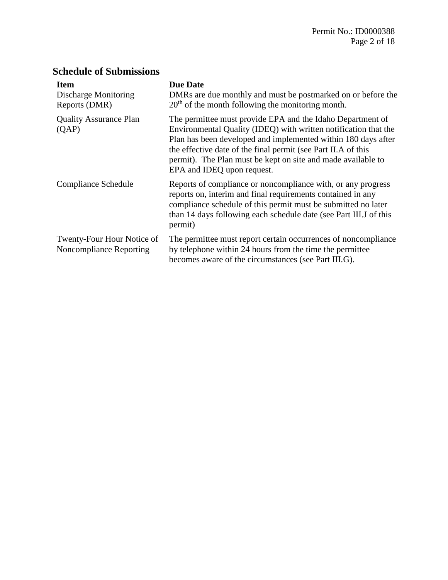# **Schedule of Submissions**

| <b>Item</b><br>Discharge Monitoring<br>Reports (DMR)  | <b>Due Date</b><br>DMRs are due monthly and must be postmarked on or before the<br>$20th$ of the month following the monitoring month.                                                                                                                                                                                                                        |
|-------------------------------------------------------|---------------------------------------------------------------------------------------------------------------------------------------------------------------------------------------------------------------------------------------------------------------------------------------------------------------------------------------------------------------|
| <b>Quality Assurance Plan</b><br>(QAP)                | The permittee must provide EPA and the Idaho Department of<br>Environmental Quality (IDEQ) with written notification that the<br>Plan has been developed and implemented within 180 days after<br>the effective date of the final permit (see Part II.A of this<br>permit). The Plan must be kept on site and made available to<br>EPA and IDEQ upon request. |
| Compliance Schedule                                   | Reports of compliance or noncompliance with, or any progress<br>reports on, interim and final requirements contained in any<br>compliance schedule of this permit must be submitted no later<br>than 14 days following each schedule date (see Part III.J of this<br>permit)                                                                                  |
| Twenty-Four Hour Notice of<br>Noncompliance Reporting | The permittee must report certain occurrences of noncompliance<br>by telephone within 24 hours from the time the permittee<br>becomes aware of the circumstances (see Part III.G).                                                                                                                                                                            |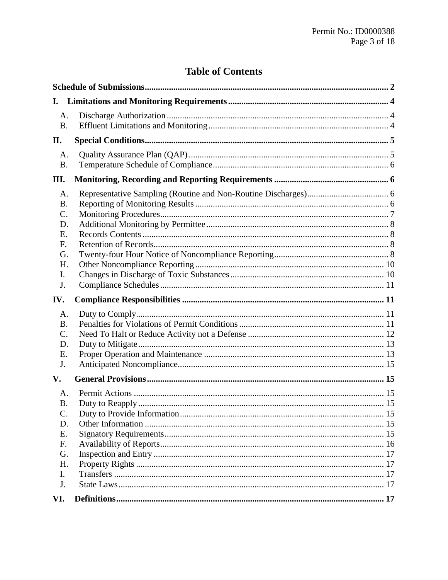# **Table of Contents**

| I.        |  |  |  |  |  |
|-----------|--|--|--|--|--|
| A.        |  |  |  |  |  |
| <b>B.</b> |  |  |  |  |  |
| П.        |  |  |  |  |  |
| A.        |  |  |  |  |  |
| <b>B.</b> |  |  |  |  |  |
| III.      |  |  |  |  |  |
| A.        |  |  |  |  |  |
| <b>B.</b> |  |  |  |  |  |
| C.        |  |  |  |  |  |
| D.        |  |  |  |  |  |
| Ε.        |  |  |  |  |  |
| F.        |  |  |  |  |  |
| G.        |  |  |  |  |  |
| H.<br>I.  |  |  |  |  |  |
| J.        |  |  |  |  |  |
|           |  |  |  |  |  |
|           |  |  |  |  |  |
| IV.       |  |  |  |  |  |
| A.        |  |  |  |  |  |
| <b>B.</b> |  |  |  |  |  |
| $C$ .     |  |  |  |  |  |
| D.        |  |  |  |  |  |
| Ε.        |  |  |  |  |  |
| J.        |  |  |  |  |  |
| V.        |  |  |  |  |  |
| A.        |  |  |  |  |  |
| <b>B.</b> |  |  |  |  |  |
| C.        |  |  |  |  |  |
| D.        |  |  |  |  |  |
| Ε.        |  |  |  |  |  |
| F.        |  |  |  |  |  |
| G.        |  |  |  |  |  |
| H.        |  |  |  |  |  |
| I.        |  |  |  |  |  |
| J.        |  |  |  |  |  |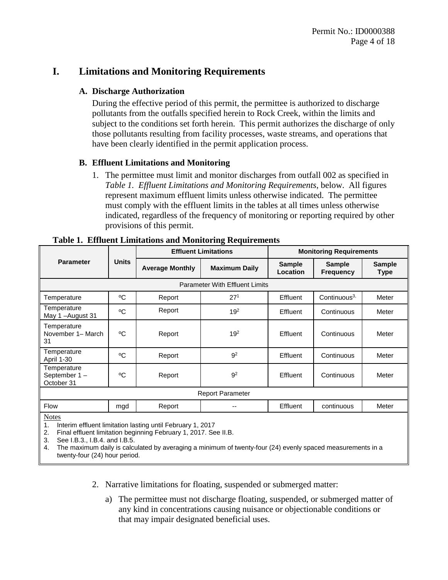## **I. Limitations and Monitoring Requirements**

#### **A. Discharge Authorization**

During the effective period of this permit, the permittee is authorized to discharge pollutants from the outfalls specified herein to Rock Creek, within the limits and subject to the conditions set forth herein. This permit authorizes the discharge of only those pollutants resulting from facility processes, waste streams, and operations that have been clearly identified in the permit application process.

#### <span id="page-3-1"></span>**B. Effluent Limitations and Monitoring**

1. The permittee must limit and monitor discharges from outfall 002 as specified in *[Table 1. Effluent Limitations and Monitoring Requirements](#page-3-0)*, below. All figures represent maximum effluent limits unless otherwise indicated. The permittee must comply with the effluent limits in the tables at all times unless otherwise indicated, regardless of the frequency of monitoring or reporting required by other provisions of this permit.

| <b>Parameter</b>                                                           | <b>Units</b> | 0<br><b>Effluent Limitations</b> |                      | <b>Monitoring Requirements</b> |                                   |                       |  |  |  |
|----------------------------------------------------------------------------|--------------|----------------------------------|----------------------|--------------------------------|-----------------------------------|-----------------------|--|--|--|
|                                                                            |              | <b>Average Monthly</b>           | <b>Maximum Daily</b> | <b>Sample</b><br>Location      | <b>Sample</b><br><b>Frequency</b> | <b>Sample</b><br>Type |  |  |  |
| <b>Parameter With Effluent Limits</b>                                      |              |                                  |                      |                                |                                   |                       |  |  |  |
| Temperature                                                                | °C           | Report                           | 27 <sup>1</sup>      | Effluent                       | Continuous $3$ ,                  | Meter                 |  |  |  |
| Temperature<br>May 1-August 31                                             | °C           | Report                           | 19 <sup>2</sup>      | Effluent                       | Continuous                        | Meter                 |  |  |  |
| Temperature<br>November 1- March<br>31                                     | °C           | Report                           | 19 <sup>2</sup>      | Effluent                       | Continuous                        | Meter                 |  |  |  |
| Temperature<br><b>April 1-30</b>                                           | °C           | Report                           | 9 <sup>2</sup>       | Effluent                       | Continuous                        | Meter                 |  |  |  |
| Temperature<br>September 1-<br>October 31                                  | °C           | Report                           | 9 <sup>2</sup>       | Effluent                       | Continuous                        | Meter                 |  |  |  |
| <b>Report Parameter</b>                                                    |              |                                  |                      |                                |                                   |                       |  |  |  |
| <b>Flow</b>                                                                | mgd          | Report                           | --                   | Effluent                       | continuous                        | Meter                 |  |  |  |
| <b>Notes</b><br>Interim effluent limitation lasting until February 1, 2017 |              |                                  |                      |                                |                                   |                       |  |  |  |

<span id="page-3-0"></span>

1. Interim effluent limitation lasting until February 1, 2017

2. Final effluent limitation beginning February 1, 2017. See II.B.

3. See I.B.3., I.B.4. and I.B.5.

4. The maximum daily is calculated by averaging a minimum of twenty-four (24) evenly spaced measurements in a twenty-four (24) hour period.

2. Narrative limitations for floating, suspended or submerged matter:

a) The permittee must not discharge floating, suspended, or submerged matter of any kind in concentrations causing nuisance or objectionable conditions or that may impair designated beneficial uses.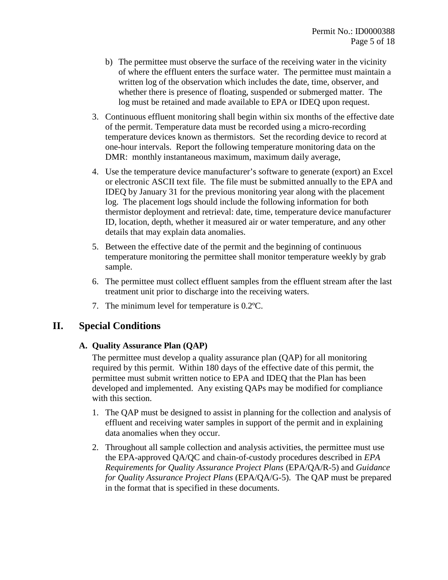- b) The permittee must observe the surface of the receiving water in the vicinity of where the effluent enters the surface water. The permittee must maintain a written log of the observation which includes the date, time, observer, and whether there is presence of floating, suspended or submerged matter. The log must be retained and made available to EPA or IDEQ upon request.
- 3. Continuous effluent monitoring shall begin within six months of the effective date of the permit. Temperature data must be recorded using a micro-recording temperature devices known as thermistors. Set the recording device to record at one-hour intervals. Report the following temperature monitoring data on the DMR: monthly instantaneous maximum, maximum daily average,
- 4. Use the temperature device manufacturer's software to generate (export) an Excel or electronic ASCII text file. The file must be submitted annually to the EPA and IDEQ by January 31 for the previous monitoring year along with the placement log. The placement logs should include the following information for both thermistor deployment and retrieval: date, time, temperature device manufacturer ID, location, depth, whether it measured air or water temperature, and any other details that may explain data anomalies.
- 5. Between the effective date of the permit and the beginning of continuous temperature monitoring the permittee shall monitor temperature weekly by grab sample.
- 6. The permittee must collect effluent samples from the effluent stream after the last treatment unit prior to discharge into the receiving waters.
- 7. The minimum level for temperature is 0.2ºC.

## <span id="page-4-0"></span>**II. Special Conditions**

#### **A. Quality Assurance Plan (QAP)**

The permittee must develop a quality assurance plan (QAP) for all monitoring required by this permit. Within 180 days of the effective date of this permit, the permittee must submit written notice to EPA and IDEQ that the Plan has been developed and implemented. Any existing QAPs may be modified for compliance with this section.

- 1. The QAP must be designed to assist in planning for the collection and analysis of effluent and receiving water samples in support of the permit and in explaining data anomalies when they occur.
- 2. Throughout all sample collection and analysis activities, the permittee must use the EPA-approved QA/QC and chain-of-custody procedures described in *EPA Requirements for Quality Assurance Project Plans* (EPA/QA/R-5) and *Guidance for Quality Assurance Project Plans* (EPA/QA/G-5). The QAP must be prepared in the format that is specified in these documents.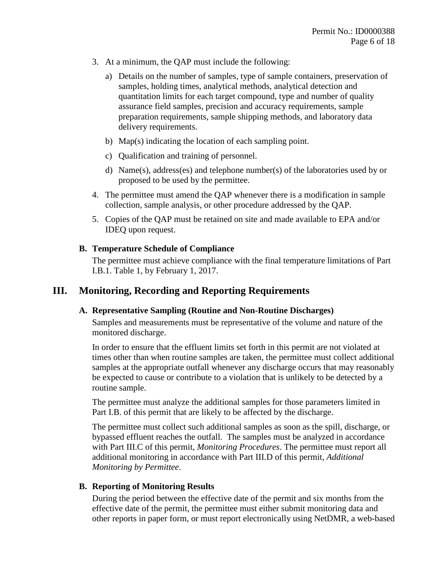- 3. At a minimum, the QAP must include the following:
	- a) Details on the number of samples, type of sample containers, preservation of samples, holding times, analytical methods, analytical detection and quantitation limits for each target compound, type and number of quality assurance field samples, precision and accuracy requirements, sample preparation requirements, sample shipping methods, and laboratory data delivery requirements.
	- b) Map(s) indicating the location of each sampling point.
	- c) Qualification and training of personnel.
	- d) Name(s), address(es) and telephone number(s) of the laboratories used by or proposed to be used by the permittee.
- 4. The permittee must amend the QAP whenever there is a modification in sample collection, sample analysis, or other procedure addressed by the QAP.
- 5. Copies of the QAP must be retained on site and made available to EPA and/or IDEQ upon request.

#### **B. Temperature Schedule of Compliance**

The permittee must achieve compliance with the final temperature limitations of Part I.B.1. Table 1, by February 1, 2017.

## **III. Monitoring, Recording and Reporting Requirements**

#### **A. Representative Sampling (Routine and Non-Routine Discharges)**

Samples and measurements must be representative of the volume and nature of the monitored discharge.

In order to ensure that the effluent limits set forth in this permit are not violated at times other than when routine samples are taken, the permittee must collect additional samples at the appropriate outfall whenever any discharge occurs that may reasonably be expected to cause or contribute to a violation that is unlikely to be detected by a routine sample.

The permittee must analyze the additional samples for those parameters limited in Part [I.B.](#page-3-1) of this permit that are likely to be affected by the discharge.

The permittee must collect such additional samples as soon as the spill, discharge, or bypassed effluent reaches the outfall. The samples must be analyzed in accordance with Part [III.C](#page-6-0) of this permit, *[Monitoring Procedures](#page-6-0)*. The permittee must report all additional monitoring in accordance with Part [III.D](#page-7-1) of this permit, *[Additional](#page-7-1)  [Monitoring by Permittee](#page-7-1)*.

#### <span id="page-5-0"></span>**B. Reporting of Monitoring Results**

During the period between the effective date of the permit and six months from the effective date of the permit, the permittee must either submit monitoring data and other reports in paper form, or must report electronically using NetDMR, a web-based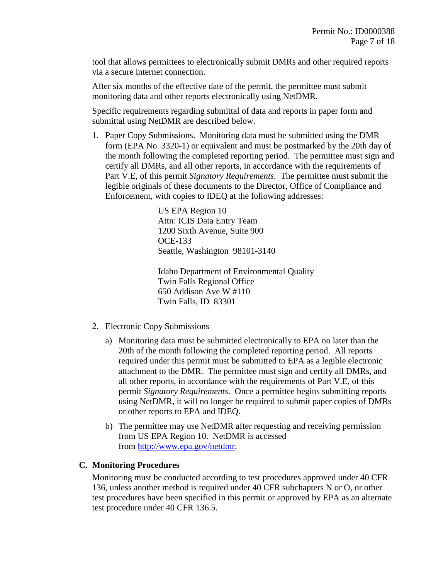tool that allows permittees to electronically submit DMRs and other required reports via a secure internet connection.

After six months of the effective date of the permit, the permittee must submit monitoring data and other reports electronically using NetDMR.

Specific requirements regarding submittal of data and reports in paper form and submittal using NetDMR are described below.

1. Paper Copy Submissions. Monitoring data must be submitted using the DMR form (EPA No. 3320-1) or equivalent and must be postmarked by the 20th day of the month following the completed reporting period. The permittee must sign and certify all DMRs, and all other reports, in accordance with the requirements of Part [V.E,](#page-14-0) of this permit *[Signatory Requirements.](#page-14-0)* The permittee must submit the legible originals of these documents to the Director, Office of Compliance and Enforcement, with copies to IDEQ at the following addresses:

> US EPA Region 10 Attn: ICIS Data Entry Team 1200 Sixth Avenue, Suite 900 OCE-133 Seattle, Washington 98101-3140

Idaho Department of Environmental Quality Twin Falls Regional Office 650 Addison Ave W #110 Twin Falls, ID 83301

- 2. Electronic Copy Submissions
	- a) Monitoring data must be submitted electronically to EPA no later than the 20th of the month following the completed reporting period. All reports required under this permit must be submitted to EPA as a legible electronic attachment to the DMR. The permittee must sign and certify all DMRs, and all other reports, in accordance with the requirements of Part [V.E,](#page-14-0) of this permit *[Signatory Requirements](#page-14-0)*. Once a permittee begins submitting reports using NetDMR, it will no longer be required to submit paper copies of DMRs or other reports to EPA and IDEQ.
	- b) The permittee may use NetDMR after requesting and receiving permission from US EPA Region 10. NetDMR is accessed from [http://www.epa.gov/netdmr.](http://www.epa.gov/netdmr)

#### <span id="page-6-0"></span>**C. Monitoring Procedures**

Monitoring must be conducted according to test procedures approved under 40 CFR 136, unless another method is required under 40 CFR subchapters N or O, or other test procedures have been specified in this permit or approved by EPA as an alternate test procedure under 40 CFR 136.5.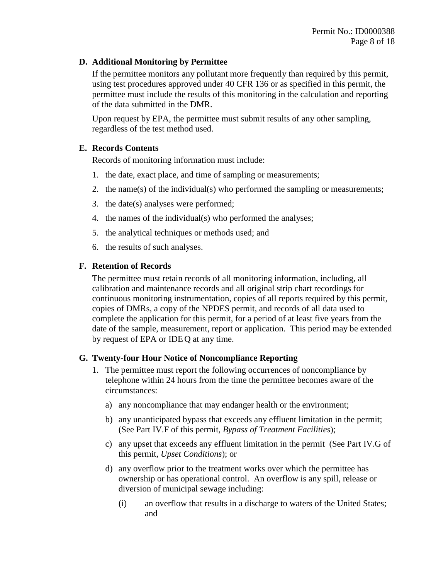#### <span id="page-7-1"></span>**D. Additional Monitoring by Permittee**

If the permittee monitors any pollutant more frequently than required by this permit, using test procedures approved under 40 CFR 136 or as specified in this permit, the permittee must include the results of this monitoring in the calculation and reporting of the data submitted in the DMR.

Upon request by EPA, the permittee must submit results of any other sampling, regardless of the test method used.

#### **E. Records Contents**

Records of monitoring information must include:

- 1. the date, exact place, and time of sampling or measurements;
- 2. the name(s) of the individual(s) who performed the sampling or measurements;
- 3. the date(s) analyses were performed;
- 4. the names of the individual(s) who performed the analyses;
- 5. the analytical techniques or methods used; and
- 6. the results of such analyses.

#### **F. Retention of Records**

The permittee must retain records of all monitoring information, including, all calibration and maintenance records and all original strip chart recordings for continuous monitoring instrumentation, copies of all reports required by this permit, copies of DMRs, a copy of the NPDES permit, and records of all data used to complete the application for this permit, for a period of at least five years from the date of the sample, measurement, report or application. This period may be extended by request of EPA or IDEQ at any time.

#### <span id="page-7-0"></span>**G. Twenty-four Hour Notice of Noncompliance Reporting**

- <span id="page-7-2"></span>1. The permittee must report the following occurrences of noncompliance by telephone within 24 hours from the time the permittee becomes aware of the circumstances:
	- a) any noncompliance that may endanger health or the environment;
	- b) any unanticipated bypass that exceeds any effluent limitation in the permit; (See Part [IV.F](#page-12-0) of this permit, *[Bypass of Treatment Facilities](#page-12-0)*);
	- c) any upset that exceeds any effluent limitation in the permit (See Part [IV.G](#page-13-0) of this permit, *[Upset Conditions](#page-13-0)*); or
	- d) any overflow prior to the treatment works over which the permittee has ownership or has operational control. An overflow is any spill, release or diversion of municipal sewage including:
		- (i) an overflow that results in a discharge to waters of the United States; and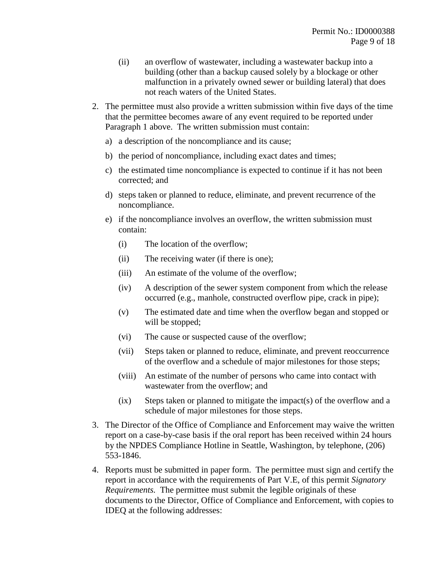- (ii) an overflow of wastewater, including a wastewater backup into a building (other than a backup caused solely by a blockage or other malfunction in a privately owned sewer or building lateral) that does not reach waters of the United States.
- <span id="page-8-0"></span>2. The permittee must also provide a written submission within five days of the time that the permittee becomes aware of any event required to be reported under Paragraph [1](#page-7-2) above. The written submission must contain:
	- a) a description of the noncompliance and its cause;
	- b) the period of noncompliance, including exact dates and times;
	- c) the estimated time noncompliance is expected to continue if it has not been corrected; and
	- d) steps taken or planned to reduce, eliminate, and prevent recurrence of the noncompliance.
	- e) if the noncompliance involves an overflow, the written submission must contain:
		- (i) The location of the overflow;
		- (ii) The receiving water (if there is one);
		- (iii) An estimate of the volume of the overflow;
		- (iv) A description of the sewer system component from which the release occurred (e.g., manhole, constructed overflow pipe, crack in pipe);
		- (v) The estimated date and time when the overflow began and stopped or will be stopped;
		- (vi) The cause or suspected cause of the overflow;
		- (vii) Steps taken or planned to reduce, eliminate, and prevent reoccurrence of the overflow and a schedule of major milestones for those steps;
		- (viii) An estimate of the number of persons who came into contact with wastewater from the overflow; and
		- $(ix)$  Steps taken or planned to mitigate the impact(s) of the overflow and a schedule of major milestones for those steps.
- 3. The Director of the Office of Compliance and Enforcement may waive the written report on a case-by-case basis if the oral report has been received within 24 hours by the NPDES Compliance Hotline in Seattle, Washington, by telephone, (206) 553-1846.
- 4. Reports must be submitted in paper form. The permittee must sign and certify the report in accordance with the requirements of Part [V.E,](#page-14-0) of this permit *[Signatory](#page-14-0)  [Requirements.](#page-14-0)* The permittee must submit the legible originals of these documents to the Director, Office of Compliance and Enforcement, with copies to IDEQ at the following addresses: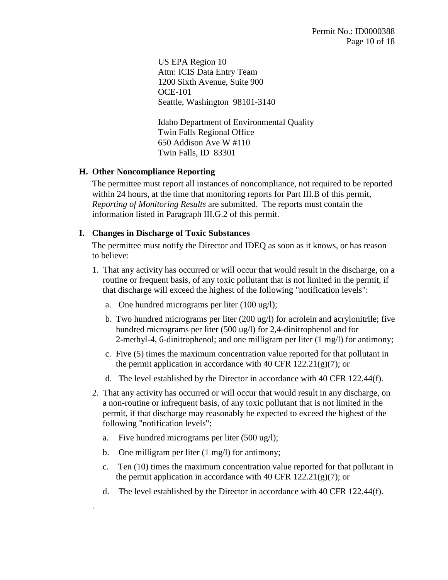US EPA Region 10 Attn: ICIS Data Entry Team 1200 Sixth Avenue, Suite 900 OCE-101 Seattle, Washington 98101-3140

Idaho Department of Environmental Quality Twin Falls Regional Office 650 Addison Ave W #110 Twin Falls, ID 83301

#### **H. Other Noncompliance Reporting**

The permittee must report all instances of noncompliance, not required to be reported within 24 hours, at the time that monitoring reports for Part [III.B](#page-5-0) of this permit, *[Reporting of Monitoring Results](#page-5-0)* are submitted. The reports must contain the information listed in Paragraph [III.G.](#page-7-0)[2](#page-8-0) of this permit.

#### **I. Changes in Discharge of Toxic Substances**

The permittee must notify the Director and IDEQ as soon as it knows, or has reason to believe:

- 1. That any activity has occurred or will occur that would result in the discharge, on a routine or frequent basis, of any toxic pollutant that is not limited in the permit, if that discharge will exceed the highest of the following "notification levels":
	- a. One hundred micrograms per liter (100 ug/l);
	- b. Two hundred micrograms per liter (200 ug/l) for acrolein and acrylonitrile; five hundred micrograms per liter (500 ug/l) for 2,4-dinitrophenol and for 2-methyl-4, 6-dinitrophenol; and one milligram per liter (1 mg/l) for antimony;
	- c. Five (5) times the maximum concentration value reported for that pollutant in the permit application in accordance with 40 CFR  $122.21(g)(7)$ ; or
	- d. The level established by the Director in accordance with 40 CFR 122.44(f).
- 2. That any activity has occurred or will occur that would result in any discharge, on a non-routine or infrequent basis, of any toxic pollutant that is not limited in the permit, if that discharge may reasonably be expected to exceed the highest of the following "notification levels":
	- a. Five hundred micrograms per liter (500 ug/l);
	- b. One milligram per liter  $(1 \text{ mg/l})$  for antimony;

.

- c. Ten (10) times the maximum concentration value reported for that pollutant in the permit application in accordance with 40 CFR  $122.21(g)(7)$ ; or
- d. The level established by the Director in accordance with 40 CFR 122.44(f).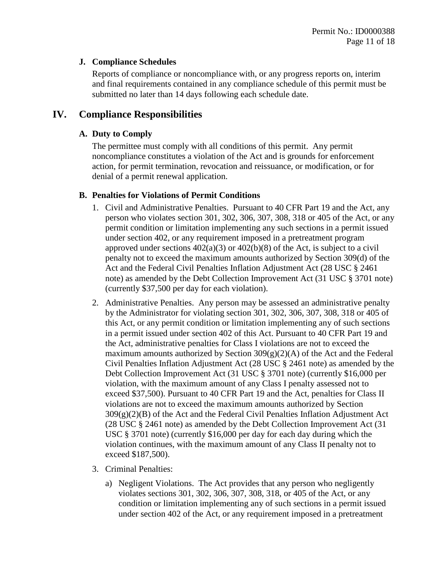#### <span id="page-10-0"></span>**J. Compliance Schedules**

Reports of compliance or noncompliance with, or any progress reports on, interim and final requirements contained in any compliance schedule of this permit must be submitted no later than 14 days following each schedule date.

# **IV. Compliance Responsibilities**

## **A. Duty to Comply**

The permittee must comply with all conditions of this permit. Any permit noncompliance constitutes a violation of the Act and is grounds for enforcement action, for permit termination, revocation and reissuance, or modification, or for denial of a permit renewal application.

## **B. Penalties for Violations of Permit Conditions**

- 1. Civil and Administrative Penalties. Pursuant to 40 CFR Part 19 and the Act, any person who violates section 301, 302, 306, 307, 308, 318 or 405 of the Act, or any permit condition or limitation implementing any such sections in a permit issued under section 402, or any requirement imposed in a pretreatment program approved under sections  $402(a)(3)$  or  $402(b)(8)$  of the Act, is subject to a civil penalty not to exceed the maximum amounts authorized by Section 309(d) of the Act and the Federal Civil Penalties Inflation Adjustment Act (28 USC § 2461 note) as amended by the Debt Collection Improvement Act (31 USC § 3701 note) (currently \$37,500 per day for each violation).
- 2. Administrative Penalties. Any person may be assessed an administrative penalty by the Administrator for violating section 301, 302, 306, 307, 308, 318 or 405 of this Act, or any permit condition or limitation implementing any of such sections in a permit issued under section 402 of this Act. Pursuant to 40 CFR Part 19 and the Act, administrative penalties for Class I violations are not to exceed the maximum amounts authorized by Section  $309(g)(2)(A)$  of the Act and the Federal Civil Penalties Inflation Adjustment Act (28 USC § 2461 note) as amended by the Debt Collection Improvement Act (31 USC § 3701 note) (currently \$16,000 per violation, with the maximum amount of any Class I penalty assessed not to exceed \$37,500). Pursuant to 40 CFR Part 19 and the Act, penalties for Class II violations are not to exceed the maximum amounts authorized by Section  $309(g)(2)(B)$  of the Act and the Federal Civil Penalties Inflation Adjustment Act (28 USC § 2461 note) as amended by the Debt Collection Improvement Act (31 USC § 3701 note) (currently \$16,000 per day for each day during which the violation continues, with the maximum amount of any Class II penalty not to exceed \$187,500).
- 3. Criminal Penalties:
	- a) Negligent Violations. The Act provides that any person who negligently violates sections 301, 302, 306, 307, 308, 318, or 405 of the Act, or any condition or limitation implementing any of such sections in a permit issued under section 402 of the Act, or any requirement imposed in a pretreatment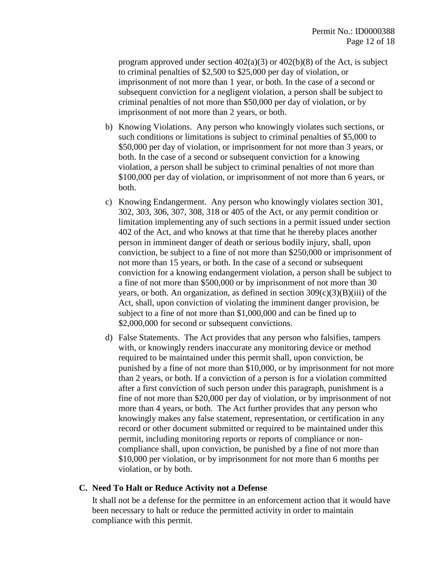program approved under section  $402(a)(3)$  or  $402(b)(8)$  of the Act, is subject to criminal penalties of \$2,500 to \$25,000 per day of violation, or imprisonment of not more than 1 year, or both. In the case of a second or subsequent conviction for a negligent violation, a person shall be subject to criminal penalties of not more than \$50,000 per day of violation, or by imprisonment of not more than 2 years, or both.

- b) Knowing Violations. Any person who knowingly violates such sections, or such conditions or limitations is subject to criminal penalties of \$5,000 to \$50,000 per day of violation, or imprisonment for not more than 3 years, or both. In the case of a second or subsequent conviction for a knowing violation, a person shall be subject to criminal penalties of not more than \$100,000 per day of violation, or imprisonment of not more than 6 years, or both.
- c) Knowing Endangerment. Any person who knowingly violates section 301, 302, 303, 306, 307, 308, 318 or 405 of the Act, or any permit condition or limitation implementing any of such sections in a permit issued under section 402 of the Act, and who knows at that time that he thereby places another person in imminent danger of death or serious bodily injury, shall, upon conviction, be subject to a fine of not more than \$250,000 or imprisonment of not more than 15 years, or both. In the case of a second or subsequent conviction for a knowing endangerment violation, a person shall be subject to a fine of not more than \$500,000 or by imprisonment of not more than 30 years, or both. An organization, as defined in section  $309(c)(3)(B)(iii)$  of the Act, shall, upon conviction of violating the imminent danger provision, be subject to a fine of not more than \$1,000,000 and can be fined up to \$2,000,000 for second or subsequent convictions.
- d) False Statements. The Act provides that any person who falsifies, tampers with, or knowingly renders inaccurate any monitoring device or method required to be maintained under this permit shall, upon conviction, be punished by a fine of not more than \$10,000, or by imprisonment for not more than 2 years, or both. If a conviction of a person is for a violation committed after a first conviction of such person under this paragraph, punishment is a fine of not more than \$20,000 per day of violation, or by imprisonment of not more than 4 years, or both. The Act further provides that any person who knowingly makes any false statement, representation, or certification in any record or other document submitted or required to be maintained under this permit, including monitoring reports or reports of compliance or noncompliance shall, upon conviction, be punished by a fine of not more than \$10,000 per violation, or by imprisonment for not more than 6 months per violation, or by both.

#### **C. Need To Halt or Reduce Activity not a Defense**

It shall not be a defense for the permittee in an enforcement action that it would have been necessary to halt or reduce the permitted activity in order to maintain compliance with this permit.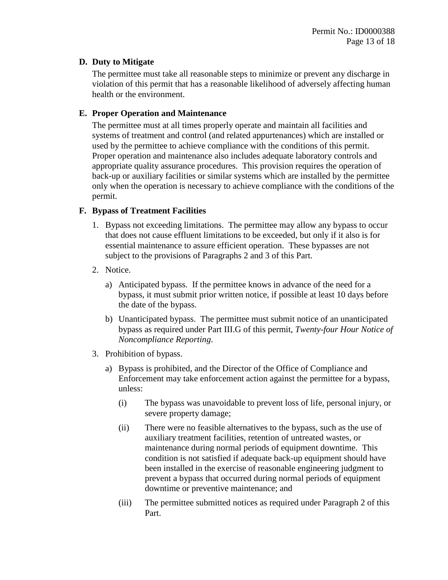#### <span id="page-12-1"></span>**D. Duty to Mitigate**

The permittee must take all reasonable steps to minimize or prevent any discharge in violation of this permit that has a reasonable likelihood of adversely affecting human health or the environment.

#### **E. Proper Operation and Maintenance**

The permittee must at all times properly operate and maintain all facilities and systems of treatment and control (and related appurtenances) which are installed or used by the permittee to achieve compliance with the conditions of this permit. Proper operation and maintenance also includes adequate laboratory controls and appropriate quality assurance procedures. This provision requires the operation of back-up or auxiliary facilities or similar systems which are installed by the permittee only when the operation is necessary to achieve compliance with the conditions of the permit.

#### <span id="page-12-0"></span>**F. Bypass of Treatment Facilities**

- 1. Bypass not exceeding limitations. The permittee may allow any bypass to occur that does not cause effluent limitations to be exceeded, but only if it also is for essential maintenance to assure efficient operation. These bypasses are not subject to the provisions of Paragraphs 2 and 3 of this Part.
- 2. Notice.
	- a) Anticipated bypass. If the permittee knows in advance of the need for a bypass, it must submit prior written notice, if possible at least 10 days before the date of the bypass.
	- b) Unanticipated bypass. The permittee must submit notice of an unanticipated bypass as required under Part [III.G](#page-7-0) of this permit, *[Twenty-four Hour Notice of](#page-7-0)  [Noncompliance Reporting](#page-7-0)*.
- 3. Prohibition of bypass.
	- a) Bypass is prohibited, and the Director of the Office of Compliance and Enforcement may take enforcement action against the permittee for a bypass, unless:
		- (i) The bypass was unavoidable to prevent loss of life, personal injury, or severe property damage;
		- (ii) There were no feasible alternatives to the bypass, such as the use of auxiliary treatment facilities, retention of untreated wastes, or maintenance during normal periods of equipment downtime. This condition is not satisfied if adequate back-up equipment should have been installed in the exercise of reasonable engineering judgment to prevent a bypass that occurred during normal periods of equipment downtime or preventive maintenance; and
		- (iii) The permittee submitted notices as required under Paragraph 2 of this Part.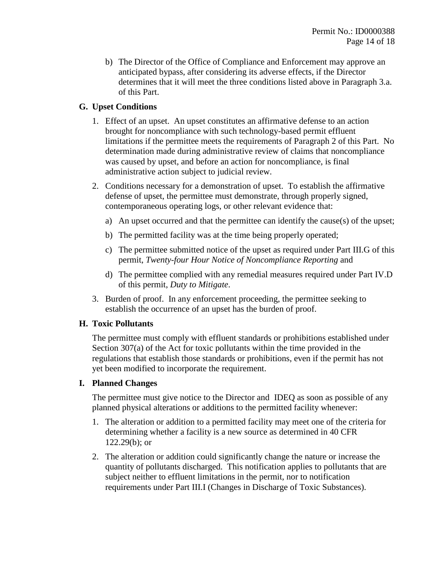b) The Director of the Office of Compliance and Enforcement may approve an anticipated bypass, after considering its adverse effects, if the Director determines that it will meet the three conditions listed above in Paragraph 3.a. of this Part.

## <span id="page-13-0"></span>**G. Upset Conditions**

- 1. Effect of an upset. An upset constitutes an affirmative defense to an action brought for noncompliance with such technology-based permit effluent limitations if the permittee meets the requirements of Paragraph 2 of this Part. No determination made during administrative review of claims that noncompliance was caused by upset, and before an action for noncompliance, is final administrative action subject to judicial review.
- 2. Conditions necessary for a demonstration of upset. To establish the affirmative defense of upset, the permittee must demonstrate, through properly signed, contemporaneous operating logs, or other relevant evidence that:
	- a) An upset occurred and that the permittee can identify the cause(s) of the upset;
	- b) The permitted facility was at the time being properly operated;
	- c) The permittee submitted notice of the upset as required under Part [III.G](#page-7-0) of this permit, *[Twenty-four Hour Notice of Noncompliance Reporting](#page-7-0)* and
	- d) The permittee complied with any remedial measures required under Part [IV.D](#page-12-1) of this permit, *[Duty to Mitigate](#page-12-1)*.
- 3. Burden of proof. In any enforcement proceeding, the permittee seeking to establish the occurrence of an upset has the burden of proof.

#### **H. Toxic Pollutants**

The permittee must comply with effluent standards or prohibitions established under Section 307(a) of the Act for toxic pollutants within the time provided in the regulations that establish those standards or prohibitions, even if the permit has not yet been modified to incorporate the requirement.

#### **I. Planned Changes**

The permittee must give notice to the Director and IDEQ as soon as possible of any planned physical alterations or additions to the permitted facility whenever:

- 1. The alteration or addition to a permitted facility may meet one of the criteria for determining whether a facility is a new source as determined in 40 CFR 122.29(b); or
- 2. The alteration or addition could significantly change the nature or increase the quantity of pollutants discharged. This notification applies to pollutants that are subject neither to effluent limitations in the permit, nor to notification requirements under Part III.I (Changes in Discharge of Toxic Substances).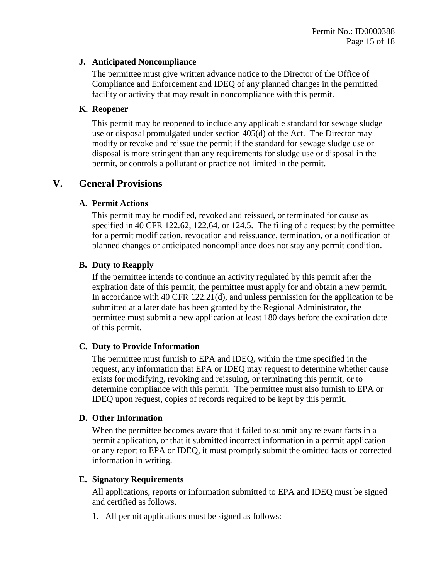#### **J. Anticipated Noncompliance**

The permittee must give written advance notice to the Director of the Office of Compliance and Enforcement and IDEQ of any planned changes in the permitted facility or activity that may result in noncompliance with this permit.

#### **K. Reopener**

This permit may be reopened to include any applicable standard for sewage sludge use or disposal promulgated under section 405(d) of the Act. The Director may modify or revoke and reissue the permit if the standard for sewage sludge use or disposal is more stringent than any requirements for sludge use or disposal in the permit, or controls a pollutant or practice not limited in the permit.

## **V. General Provisions**

#### **A. Permit Actions**

This permit may be modified, revoked and reissued, or terminated for cause as specified in 40 CFR 122.62, 122.64, or 124.5. The filing of a request by the permittee for a permit modification, revocation and reissuance, termination, or a notification of planned changes or anticipated noncompliance does not stay any permit condition.

## **B. Duty to Reapply**

If the permittee intends to continue an activity regulated by this permit after the expiration date of this permit, the permittee must apply for and obtain a new permit. In accordance with 40 CFR 122.21(d), and unless permission for the application to be submitted at a later date has been granted by the Regional Administrator, the permittee must submit a new application at least 180 days before the expiration date of this permit.

#### **C. Duty to Provide Information**

The permittee must furnish to EPA and IDEQ*,* within the time specified in the request, any information that EPA or IDEQ may request to determine whether cause exists for modifying, revoking and reissuing, or terminating this permit, or to determine compliance with this permit. The permittee must also furnish to EPA or IDEQ upon request, copies of records required to be kept by this permit.

#### **D. Other Information**

When the permittee becomes aware that it failed to submit any relevant facts in a permit application, or that it submitted incorrect information in a permit application or any report to EPA or IDEQ*,* it must promptly submit the omitted facts or corrected information in writing.

#### <span id="page-14-0"></span>**E. Signatory Requirements**

All applications, reports or information submitted to EPA and IDEQ must be signed and certified as follows.

1. All permit applications must be signed as follows: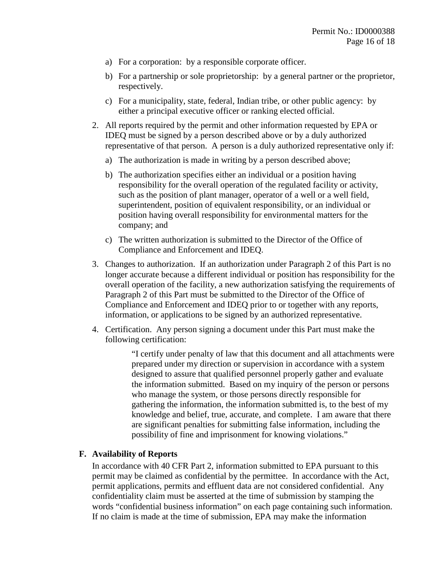- a) For a corporation: by a responsible corporate officer.
- b) For a partnership or sole proprietorship: by a general partner or the proprietor, respectively.
- c) For a municipality, state, federal, Indian tribe, or other public agency: by either a principal executive officer or ranking elected official.
- <span id="page-15-0"></span>2. All reports required by the permit and other information requested by EPA or IDEQ must be signed by a person described above or by a duly authorized representative of that person. A person is a duly authorized representative only if:
	- a) The authorization is made in writing by a person described above;
	- b) The authorization specifies either an individual or a position having responsibility for the overall operation of the regulated facility or activity, such as the position of plant manager, operator of a well or a well field, superintendent, position of equivalent responsibility, or an individual or position having overall responsibility for environmental matters for the company; and
	- c) The written authorization is submitted to the Director of the Office of Compliance and Enforcement and IDEQ.
- 3. Changes to authorization. If an authorization under Paragraph [2](#page-15-0) of this Part is no longer accurate because a different individual or position has responsibility for the overall operation of the facility, a new authorization satisfying the requirements of Paragraph [2](#page-15-0) of this Part must be submitted to the Director of the Office of Compliance and Enforcement and IDEQ prior to or together with any reports, information, or applications to be signed by an authorized representative.
- 4. Certification. Any person signing a document under this Part must make the following certification:

"I certify under penalty of law that this document and all attachments were prepared under my direction or supervision in accordance with a system designed to assure that qualified personnel properly gather and evaluate the information submitted. Based on my inquiry of the person or persons who manage the system, or those persons directly responsible for gathering the information, the information submitted is, to the best of my knowledge and belief, true, accurate, and complete. I am aware that there are significant penalties for submitting false information, including the possibility of fine and imprisonment for knowing violations."

#### **F. Availability of Reports**

In accordance with 40 CFR Part 2, information submitted to EPA pursuant to this permit may be claimed as confidential by the permittee. In accordance with the Act, permit applications, permits and effluent data are not considered confidential. Any confidentiality claim must be asserted at the time of submission by stamping the words "confidential business information" on each page containing such information. If no claim is made at the time of submission, EPA may make the information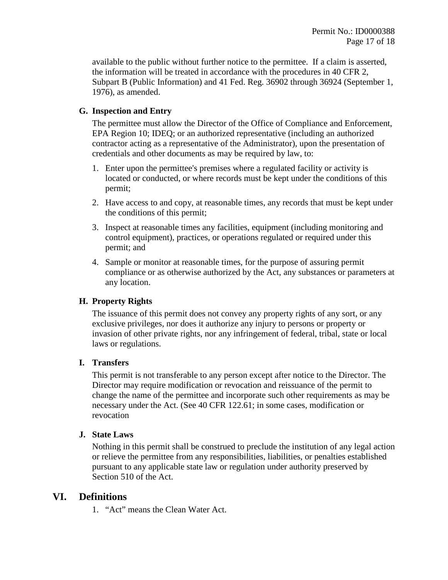available to the public without further notice to the permittee. If a claim is asserted, the information will be treated in accordance with the procedures in 40 CFR 2, Subpart B (Public Information) and 41 Fed. Reg. 36902 through 36924 (September 1, 1976), as amended.

### **G. Inspection and Entry**

The permittee must allow the Director of the Office of Compliance and Enforcement, EPA Region 10; IDEQ; or an authorized representative (including an authorized contractor acting as a representative of the Administrator), upon the presentation of credentials and other documents as may be required by law, to:

- 1. Enter upon the permittee's premises where a regulated facility or activity is located or conducted, or where records must be kept under the conditions of this permit;
- 2. Have access to and copy, at reasonable times, any records that must be kept under the conditions of this permit;
- 3. Inspect at reasonable times any facilities, equipment (including monitoring and control equipment), practices, or operations regulated or required under this permit; and
- 4. Sample or monitor at reasonable times, for the purpose of assuring permit compliance or as otherwise authorized by the Act, any substances or parameters at any location.

#### **H. Property Rights**

The issuance of this permit does not convey any property rights of any sort, or any exclusive privileges, nor does it authorize any injury to persons or property or invasion of other private rights, nor any infringement of federal, tribal, state or local laws or regulations.

#### **I. Transfers**

This permit is not transferable to any person except after notice to the Director. The Director may require modification or revocation and reissuance of the permit to change the name of the permittee and incorporate such other requirements as may be necessary under the Act. (See 40 CFR 122.61; in some cases, modification or revocation

#### **J. State Laws**

Nothing in this permit shall be construed to preclude the institution of any legal action or relieve the permittee from any responsibilities, liabilities, or penalties established pursuant to any applicable state law or regulation under authority preserved by Section 510 of the Act.

## **VI. Definitions**

1. "Act" means the Clean Water Act.